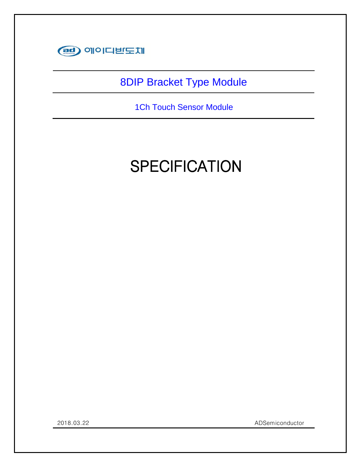

### 8DIP Bracket Type Module

1Ch Touch Sensor Module

### **SPECIFICATION**

Confidential

2018.03.22 ADSemiconductor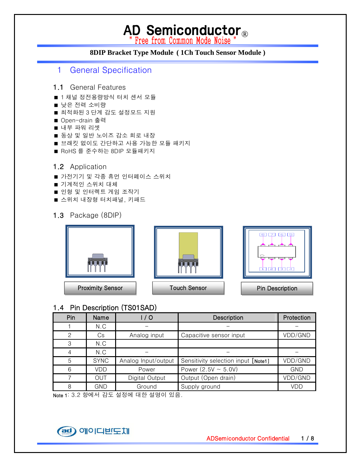### AD Semiconductor<sub>®</sub>

### **8DIP Bracket Type Module ( 1Ch Touch Sensor Module )**

- 1 General Specification
- 1.1 General Features
- 1 채널 정전용량방식 터치 센서 모듈
- 낮은 전력 소비량
- 최적화된 3 단계 감도 설정모드 지원
- Open-drain 출력
- 내부 파워 리셋
- 동상 및 일반 노이즈 감소 회로 내장
- 브래킷 없이도 간단하고 사용 가능한 모듈 패키지
- RoHS 를 준수하는 8DIP 모듈패키지

### 1.2 Application

- 가전기기 및 각종 휴먼 인터페이스 스위치
- 기계적인 스위치 대체
- 인형 및 인터렉트 게임 조작기
- 스위치 내장형 터치패널, 키패드
- 1.3 Package (8DIP)



### 1.4 Pin Description (TS01SAD)

| Pin | Name        | 1/0                 | Description                         | Protection |
|-----|-------------|---------------------|-------------------------------------|------------|
|     | N.C         |                     |                                     |            |
| 2   | Cs          | Analog input        | Capacitive sensor input             | VDD/GND    |
| 3   | N.C         |                     |                                     |            |
| 4   | N.C         |                     |                                     |            |
| 5   | <b>SYNC</b> | Analog Input/output | Sensitivity selection input [Note1] | VDD/GND    |
| 6   | VDD         | Power               | Power $(2.5V \sim 5.0V)$            | <b>GND</b> |
|     | OUT         | Digital Output      | Output (Open drain)                 | VDD/GND    |
| 8   | GND         | Ground              | Supply ground                       | VDD        |

Note 1: 3.2 항에서 감도 설정에 대한 설명이 있음.

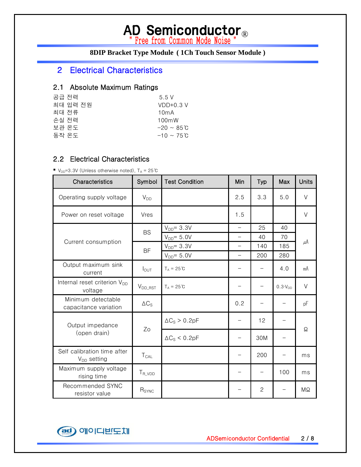# AD Semiconductor<sup>®</sup><br>
Free from Common Mode Noise "

### **8DIP Bracket Type Module ( 1Ch Touch Sensor Module )**

### 2 Electrical Characteristics

### 2.1 Absolute Maximum Ratings

| 공급 전력    | 5.5V             |
|----------|------------------|
| 최대 입력 전원 | $VDD+0.3 V$      |
| 최대 전류    | 10mA             |
| 손실 전력    | 100mW            |
| 보관 온도    | $-20 \sim 85$ °C |
| 동작 온도    | $-10 \sim 75$ C  |
|          |                  |

#### 2.2 Electrical Characteristics

■  $V_{DD}$ =3.3V (Unless otherwise noted),  $T_A = 25^{\circ}C$ 

| Characteristics                                     | Symbol                | <b>Test Condition</b> | Min                      | Typ                      | Max                | <b>Units</b> |
|-----------------------------------------------------|-----------------------|-----------------------|--------------------------|--------------------------|--------------------|--------------|
| Operating supply voltage                            | $V_{DD}$              |                       | 2.5                      | 3.3                      | 5.0                | $\vee$       |
| Power on reset voltage                              | Vres                  |                       | 1.5                      |                          |                    | V            |
|                                                     | <b>BS</b>             | $V_{DD} = 3.3V$       | $\overline{\phantom{0}}$ | 25                       | 40                 |              |
|                                                     |                       | $V_{DD} = 5.0V$       | $\overline{\phantom{0}}$ | 40                       | 70                 |              |
| Current consumption                                 |                       | $V_{DD} = 3.3V$       | $\overline{\phantom{0}}$ | 140                      | 185                | $\mu$ A      |
|                                                     | <b>BF</b>             | $V_{DD} = 5.0V$       | $\overline{\phantom{0}}$ | 200                      | 280                |              |
| Output maximum sink<br>current                      | $I_{\text{OUT}}$      | $T_A = 25^{\circ}C$   |                          |                          | 4.0                | mA           |
| Internal reset criterion V <sub>DD</sub><br>voltage | $V_{DD\_RST}$         | $T_A = 25^{\circ}C$   |                          | $\qquad \qquad -$        | $0.3 \cdot V_{DD}$ | V            |
| Minimum detectable<br>capacitance variation         | $\Delta C_{\text{S}}$ |                       | 0.2                      |                          |                    | pF           |
| Output impedance                                    | Zo                    | $\Delta C_S > 0.2pF$  |                          | 12                       |                    | Ω            |
| (open drain)                                        |                       | $\Delta C_S < 0.2pF$  |                          | 30M                      |                    |              |
| Self calibration time after<br>$V_{DD}$ setting     | $T_{CAL}$             |                       |                          | 200                      |                    | ms           |
| Maximum supply voltage<br>rising time               | $T_{R_VDD}$           |                       |                          | $\overline{\phantom{0}}$ | 100                | ms           |
| Recommended SYNC<br>resistor value                  | R <sub>SYNC</sub>     |                       |                          | $\mathbf{2}$             |                    | ΜΩ           |

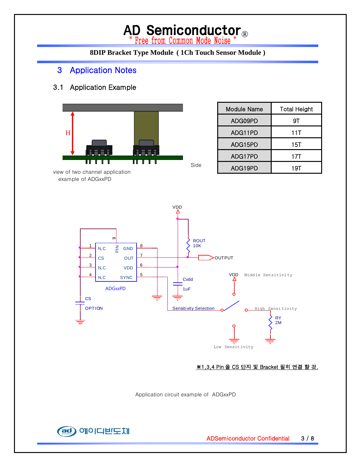# AD Semiconductor<sup>®</sup>

### **8DIP Bracket Type Module ( 1Ch Touch Sensor Module )**

### 3 Application Notes

### 3.1 Application Example



| <b>Module Name</b> | <b>Total Height</b> |  |
|--------------------|---------------------|--|
| ADG09PD            | 9Τ                  |  |
| ADG11PD            | 11T                 |  |
| ADG15PD            | 15T                 |  |
| ADG17PD            | 17T                 |  |
| ADG19PD            | 19T                 |  |



#### ※1,3,4 Pin 을 CS 단자 및 Bracket 필히 연결 할 것.

Application circuit example of ADGxxPD

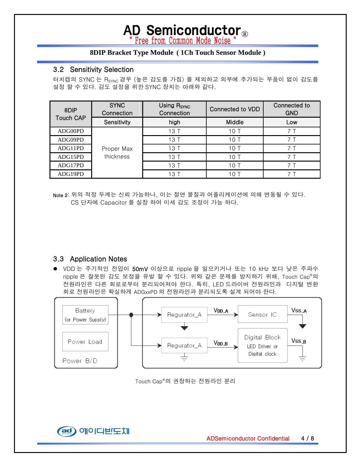### AD Semiconductor<sub>®</sub>

#### **8DIP Bracket Type Module ( 1Ch Touch Sensor Module )**

### 3.2 Sensitivity Selection

터치캡의 SYNC 는 R<sub>SYNC</sub> 경우 (높은 감도를 가짐) 를 제외하고 외부에 추가되는 부품이 없이 감도를 설정 할 수 있다. 감도 설정을 위한 SYNC 장치는 아래와 같다.

| 8DIP             | <b>SYNC</b><br>Connection | Using R <sub>SYNC</sub><br>Connection | Connected to VDD | Connected to<br><b>GND</b> |
|------------------|---------------------------|---------------------------------------|------------------|----------------------------|
| <b>Touch CAP</b> | Sensitivity               | high                                  | Middle           | Low                        |
| ADG00PD          |                           | 13T                                   | 10T              |                            |
| ADG09PD          | Proper Max<br>thickness   | 13T                                   | 10T              |                            |
| ADG11PD          |                           | 13T                                   | 10T              |                            |
| ADG15PD          |                           | 13T                                   | 10T              |                            |
| ADG17PD          |                           | 13T                                   | 10T              |                            |
| ADG19PD          |                           | 13T                                   | 10T              |                            |

Note 2: 위의 적정 두께는 신뢰 가능하나, 이는 절연 물질과 어플리케이션에 의해 변동될 수 있다. CS 단자에 Capacitor 를 실장 하여 미세 감도 조정이 가능 하다.

### 3.3 Application Notes

● VDD 는 주기적인 전압이 50mV 이상으로 ripple 을 일으키거나 또는 10 kHz 보다 낮은 주파수 ripple 은 잘못된 감도 보정을 유발 할 수 있다. 위와 같은 문제를 방지하기 위해, Touch Cap®의 전원라인은 다른 회로로부터 분리되어져야 한다. 특히, LED 드라이버 전원라인과 디지털 변환 회로 전원라인은 확실하게 ADGxxPD 의 전원라인과 분리되도록 설계 되어야 한다.



Touch Cap®의 권장하는 전원라인 분리

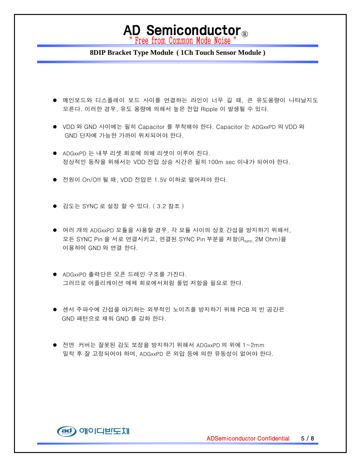### AD Semiconductor<sub>®</sub><br>"Free from Common Mode Noise "

#### **8DIP Bracket Type Module ( 1Ch Touch Sensor Module )**

- 메인보드와 디스플레이 보드 사이를 연결하는 라인이 너무 길 때, 큰 유도용량이 나타날지도 모른다. 이러한 경우, 유도 용량에 의해서 높은 전압 Ripple 이 발생될 수 있다.
- VDD 와 GND 사이에는 필히 Capacitor 를 부착해야 한다. Capacitor 는 ADGxxPD 의 VDD 와 GND 단자에 가능한 가까이 위치되어야 한다.
- ADGxxPD 는 내부 리셋 회로에 의해 리셋이 이루어 진다. 정상적인 동작을 위해서는 VDD 전압 상승 시간은 필히 100m sec 이내가 되어야 한다.
- 전원이 On/Off 될 때, VDD 전압은 1.5V 이하로 떨어져야 한다.
- 감도는 SYNC 로 설정 할 수 있다. (3.2 참조)
- 여러 개의 ADGxxPD 모듈을 사용할 경우, 각 모듈 사이의 상호 간섭을 방지하기 위해서, 모든 SYNC Pin 을 서로 연결시키고, 연결된 SYNC Pin 부분을 저항(Rsync, 2M Ohm)을 이용하여 GND 와 연결 한다.
- ADGxxPD 출력단은 오픈 드레인 구조를 가진다. 그러므로 어플리케이션 예제 회로에서처럼 풀업 저항을 필요로 한다.
- 센서 주파수에 간섭을 야기하는 외부적인 노이즈를 방지하기 위해 PCB 의 빈 공간은 GND 패턴으로 채워 GND 를 강화 한다.
- 전면 커버는 잘못된 감도 보정을 방지하기 위해서 ADGxxPD 의 위에 1~2mm 밀착 후 잘 고정되어야 하며, ADGxxPD 은 외압 등에 의한 유동성이 없어야 한다.

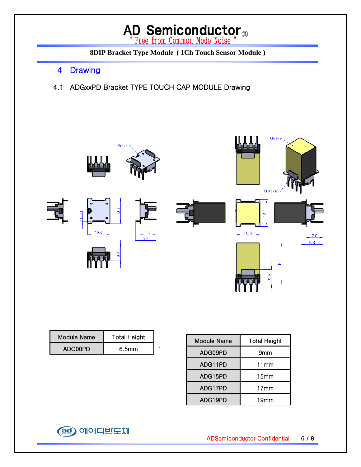# AD Semiconductor<sup>®</sup><br>
Free from Common Mode Noise "

**8DIP Bracket Type Module ( 1Ch Touch Sensor Module )** 

- 4 Drawing
- 4.1 ADGxxPD Bracket TYPE TOUCH CAP MODULE Drawing



| Module Name | <b>Total Height</b> |  |
|-------------|---------------------|--|
| ADG00PD     | 6.5 <sub>mm</sub>   |  |

| <b>Module Name</b> | <b>Total Height</b> |  |
|--------------------|---------------------|--|
| ADG09PD            | 9mm                 |  |
| ADG11PD            | 11mm                |  |
| ADG15PD            | 15mm                |  |
| ADG17PD            | 17 <sub>mm</sub>    |  |
| ADG19PD            | 19mm                |  |

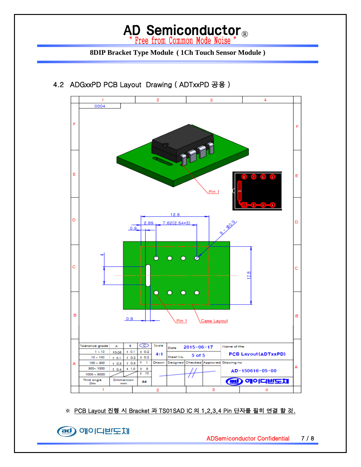### AD Semiconductor<sup>®</sup>

### **8DIP Bracket Type Module ( 1Ch Touch Sensor Module )**



### 4.2 ADGxxPD PCB Layout Drawing ( ADTxxPD 공용 )

※ PCB Layout 진행 시 Bracket 과 TS01SAD IC 의 1,2,3,4 Pin 단자를 필히 연결 할 것.